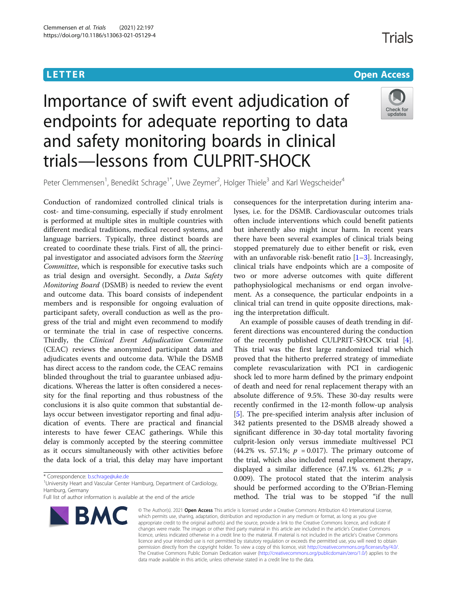# <u>L E T E T ER Open [Access](http://crossmark.crossref.org/dialog/?doi=10.1186/s13063-021-05129-4&domain=pdf) and the Europe Access and the Europe Access and the Europe Access and the Europe Acce</u>s

# Importance of swift event adjudication of endpoints for adequate reporting to data and safety monitoring boards in clinical trials—lessons from CULPRIT-SHOCK



Peter Clemmensen<sup>1</sup>, Benedikt Schrage<sup>1\*</sup>, Uwe Zeymer<sup>2</sup>, Holger Thiele<sup>3</sup> and Karl Wegscheider<sup>4</sup>

Conduction of randomized controlled clinical trials is cost- and time-consuming, especially if study enrolment is performed at multiple sites in multiple countries with different medical traditions, medical record systems, and language barriers. Typically, three distinct boards are created to coordinate these trials. First of all, the principal investigator and associated advisors form the Steering Committee, which is responsible for executive tasks such as trial design and oversight. Secondly, a Data Safety Monitoring Board (DSMB) is needed to review the event and outcome data. This board consists of independent members and is responsible for ongoing evaluation of participant safety, overall conduction as well as the progress of the trial and might even recommend to modify or terminate the trial in case of respective concerns. Thirdly, the Clinical Event Adjudication Committee (CEAC) reviews the anonymized participant data and adjudicates events and outcome data. While the DSMB has direct access to the random code, the CEAC remains blinded throughout the trial to guarantee unbiased adjudications. Whereas the latter is often considered a necessity for the final reporting and thus robustness of the conclusions it is also quite common that substantial delays occur between investigator reporting and final adjudication of events. There are practical and financial interests to have fewer CEAC gatherings. While this delay is commonly accepted by the steering committee as it occurs simultaneously with other activities before the data lock of a trial, this delay may have important

Full list of author information is available at the end of the article



consequences for the interpretation during interim analyses, i.e. for the DSMB. Cardiovascular outcomes trials often include interventions which could benefit patients but inherently also might incur harm. In recent years there have been several examples of clinical trials being stopped prematurely due to either benefit or risk, even with an unfavorable risk-benefit ratio  $[1-3]$  $[1-3]$  $[1-3]$  $[1-3]$ . Increasingly, clinical trials have endpoints which are a composite of two or more adverse outcomes with quite different pathophysiological mechanisms or end organ involvement. As a consequence, the particular endpoints in a clinical trial can trend in quite opposite directions, making the interpretation difficult.

An example of possible causes of death trending in different directions was encountered during the conduction of the recently published CULPRIT-SHOCK trial [\[4](#page-2-0)]. This trial was the first large randomized trial which proved that the hitherto preferred strategy of immediate complete revascularization with PCI in cardiogenic shock led to more harm defined by the primary endpoint of death and need for renal replacement therapy with an absolute difference of 9.5%. These 30-day results were recently confirmed in the 12-month follow-up analysis [[5\]](#page-2-0). The pre-specified interim analysis after inclusion of 342 patients presented to the DSMB already showed a significant difference in 30-day total mortality favoring culprit-lesion only versus immediate multivessel PCI (44.2% vs. 57.1%;  $p = 0.017$ ). The primary outcome of the trial, which also included renal replacement therapy, displayed a similar difference (47.1% vs. 61.2%;  $p =$ 0.009). The protocol stated that the interim analysis should be performed according to the O'Brian-Fleming method. The trial was to be stopped "if the null

© The Author(s). 2021 Open Access This article is licensed under a Creative Commons Attribution 4.0 International License, which permits use, sharing, adaptation, distribution and reproduction in any medium or format, as long as you give appropriate credit to the original author(s) and the source, provide a link to the Creative Commons licence, and indicate if changes were made. The images or other third party material in this article are included in the article's Creative Commons licence, unless indicated otherwise in a credit line to the material. If material is not included in the article's Creative Commons licence and your intended use is not permitted by statutory regulation or exceeds the permitted use, you will need to obtain permission directly from the copyright holder. To view a copy of this licence, visit [http://creativecommons.org/licenses/by/4.0/.](http://creativecommons.org/licenses/by/4.0/) The Creative Commons Public Domain Dedication waiver [\(http://creativecommons.org/publicdomain/zero/1.0/](http://creativecommons.org/publicdomain/zero/1.0/)) applies to the data made available in this article, unless otherwise stated in a credit line to the data.

<sup>\*</sup> Correspondence: [b.schrage@uke.de](mailto:b.schrage@uke.de) <sup>1</sup>

<sup>&</sup>lt;sup>1</sup> University Heart and Vascular Center Hamburg, Department of Cardiology, Hamburg, Germany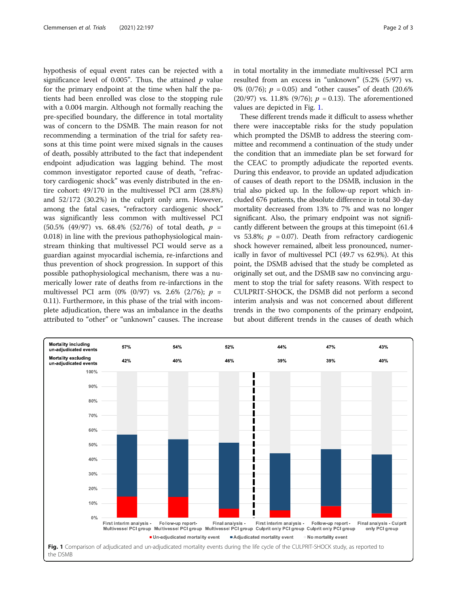hypothesis of equal event rates can be rejected with a significance level of 0.005". Thus, the attained  $p$  value for the primary endpoint at the time when half the patients had been enrolled was close to the stopping rule with a 0.004 margin. Although not formally reaching the pre-specified boundary, the difference in total mortality was of concern to the DSMB. The main reason for not recommending a termination of the trial for safety reasons at this time point were mixed signals in the causes of death, possibly attributed to the fact that independent endpoint adjudication was lagging behind. The most common investigator reported cause of death, "refractory cardiogenic shock" was evenly distributed in the entire cohort: 49/170 in the multivessel PCI arm (28.8%) and 52/172 (30.2%) in the culprit only arm. However, among the fatal cases, "refractory cardiogenic shock" was significantly less common with multivessel PCI  $(50.5\%$   $(49/97)$  vs. 68.4%  $(52/76)$  of total death,  $p =$ 0.018) in line with the previous pathophysiological mainstream thinking that multivessel PCI would serve as a guardian against myocardial ischemia, re-infarctions and thus prevention of shock progression. In support of this possible pathophysiological mechanism, there was a numerically lower rate of deaths from re-infarctions in the multivessel PCI arm (0% (0/97) vs. 2.6% (2/76);  $p =$ 0.11). Furthermore, in this phase of the trial with incomplete adjudication, there was an imbalance in the deaths attributed to "other" or "unknown" causes. The increase in total mortality in the immediate multivessel PCI arm resulted from an excess in "unknown" (5.2% (5/97) vs. 0% (0/76);  $p = 0.05$  and "other causes" of death (20.6%) (20/97) vs. 11.8% (9/76);  $p = 0.13$ ). The aforementioned values are depicted in Fig. 1.

These different trends made it difficult to assess whether there were inacceptable risks for the study population which prompted the DSMB to address the steering committee and recommend a continuation of the study under the condition that an immediate plan be set forward for the CEAC to promptly adjudicate the reported events. During this endeavor, to provide an updated adjudication of causes of death report to the DSMB, inclusion in the trial also picked up. In the follow-up report which included 676 patients, the absolute difference in total 30-day mortality decreased from 13% to 7% and was no longer significant. Also, the primary endpoint was not significantly different between the groups at this timepoint (61.4 vs 53.8%;  $p = 0.07$ ). Death from refractory cardiogenic shock however remained, albeit less pronounced, numerically in favor of multivessel PCI (49.7 vs 62.9%). At this point, the DSMB advised that the study be completed as originally set out, and the DSMB saw no convincing argument to stop the trial for safety reasons. With respect to CULPRIT-SHOCK, the DSMB did not perform a second interim analysis and was not concerned about different trends in the two components of the primary endpoint, but about different trends in the causes of death which